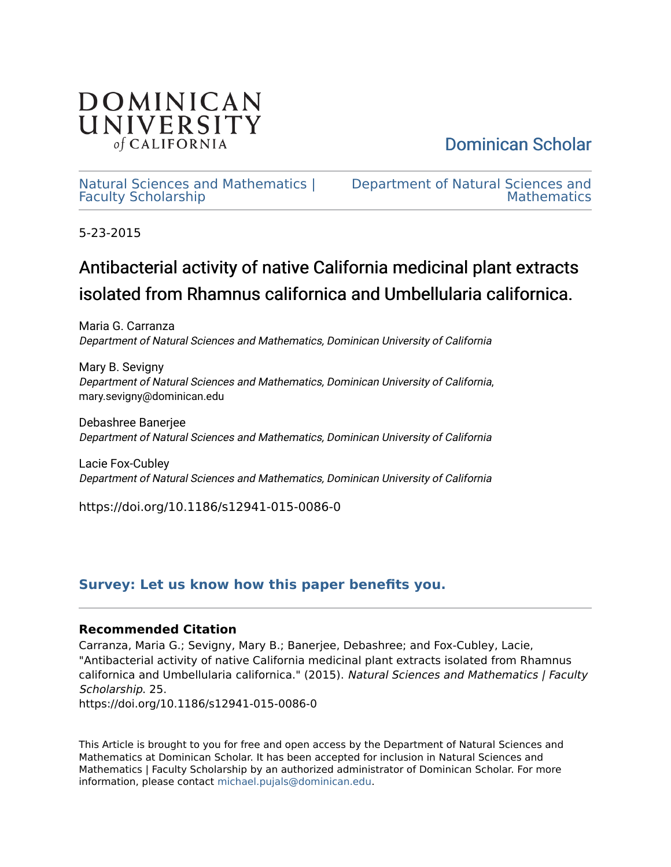

[Dominican Scholar](https://scholar.dominican.edu/) 

[Natural Sciences and Mathematics |](https://scholar.dominican.edu/natural-sciences-and-mathematics-faculty-scholarship) [Faculty Scholarship](https://scholar.dominican.edu/natural-sciences-and-mathematics-faculty-scholarship) 

[Department of Natural Sciences and](https://scholar.dominican.edu/natural-sciences-and-mathematics)  **Mathematics** 

5-23-2015

# Antibacterial activity of native California medicinal plant extracts isolated from Rhamnus californica and Umbellularia californica.

Maria G. Carranza Department of Natural Sciences and Mathematics, Dominican University of California

Mary B. Sevigny Department of Natural Sciences and Mathematics, Dominican University of California, mary.sevigny@dominican.edu

Debashree Banerjee Department of Natural Sciences and Mathematics, Dominican University of California

Lacie Fox-Cubley Department of Natural Sciences and Mathematics, Dominican University of California

https://doi.org/10.1186/s12941-015-0086-0

# **[Survey: Let us know how this paper benefits you.](https://dominican.libwizard.com/dominican-scholar-feedback)**

# **Recommended Citation**

Carranza, Maria G.; Sevigny, Mary B.; Banerjee, Debashree; and Fox-Cubley, Lacie, "Antibacterial activity of native California medicinal plant extracts isolated from Rhamnus californica and Umbellularia californica." (2015). Natural Sciences and Mathematics | Faculty Scholarship. 25. https://doi.org/10.1186/s12941-015-0086-0

This Article is brought to you for free and open access by the Department of Natural Sciences and Mathematics at Dominican Scholar. It has been accepted for inclusion in Natural Sciences and Mathematics | Faculty Scholarship by an authorized administrator of Dominican Scholar. For more information, please contact [michael.pujals@dominican.edu](mailto:michael.pujals@dominican.edu).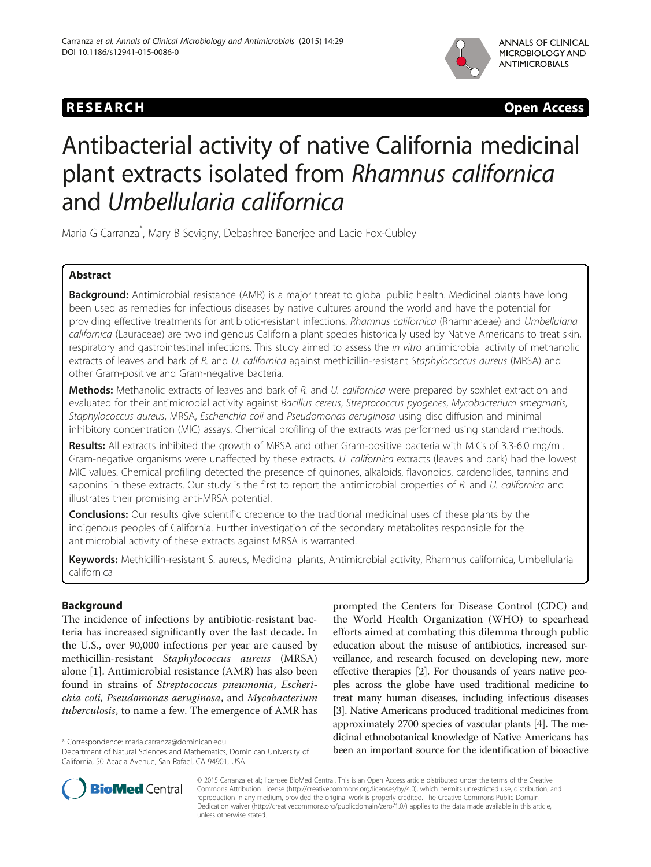# RESEARCH CHEAR CHEAR CHEAR CHEAR CHEAR CHEAR CHEAR CHEAR CHEAR CHEAP CHEAP CHEAP CHEAP CHEAP CHEAP CHEAP CHEAP



# Antibacterial activity of native California medicinal plant extracts isolated from Rhamnus californica and Umbellularia californica

Maria G Carranza<sup>\*</sup>, Mary B Sevigny, Debashree Banerjee and Lacie Fox-Cubley

## Abstract

Background: Antimicrobial resistance (AMR) is a major threat to global public health. Medicinal plants have long been used as remedies for infectious diseases by native cultures around the world and have the potential for providing effective treatments for antibiotic-resistant infections. Rhamnus californica (Rhamnaceae) and Umbellularia californica (Lauraceae) are two indigenous California plant species historically used by Native Americans to treat skin, respiratory and gastrointestinal infections. This study aimed to assess the in vitro antimicrobial activity of methanolic extracts of leaves and bark of R. and U. californica against methicillin-resistant Staphylococcus aureus (MRSA) and other Gram-positive and Gram-negative bacteria.

Methods: Methanolic extracts of leaves and bark of R. and U. californica were prepared by soxhlet extraction and evaluated for their antimicrobial activity against Bacillus cereus, Streptococcus pyogenes, Mycobacterium smegmatis, Staphylococcus aureus, MRSA, Escherichia coli and Pseudomonas aeruginosa using disc diffusion and minimal inhibitory concentration (MIC) assays. Chemical profiling of the extracts was performed using standard methods.

Results: All extracts inhibited the growth of MRSA and other Gram-positive bacteria with MICs of 3.3-6.0 mg/ml. Gram-negative organisms were unaffected by these extracts. U. californica extracts (leaves and bark) had the lowest MIC values. Chemical profiling detected the presence of quinones, alkaloids, flavonoids, cardenolides, tannins and saponins in these extracts. Our study is the first to report the antimicrobial properties of R. and U. californica and illustrates their promising anti-MRSA potential.

**Conclusions:** Our results give scientific credence to the traditional medicinal uses of these plants by the indigenous peoples of California. Further investigation of the secondary metabolites responsible for the antimicrobial activity of these extracts against MRSA is warranted.

Keywords: Methicillin-resistant S. aureus, Medicinal plants, Antimicrobial activity, Rhamnus californica, Umbellularia californica

## Background

The incidence of infections by antibiotic-resistant bacteria has increased significantly over the last decade. In the U.S., over 90,000 infections per year are caused by methicillin-resistant Staphylococcus aureus (MRSA) alone [\[1](#page-6-0)]. Antimicrobial resistance (AMR) has also been found in strains of Streptococcus pneumonia, Escherichia coli, Pseudomonas aeruginosa, and Mycobacterium tuberculosis, to name a few. The emergence of AMR has

prompted the Centers for Disease Control (CDC) and the World Health Organization (WHO) to spearhead efforts aimed at combating this dilemma through public education about the misuse of antibiotics, increased surveillance, and research focused on developing new, more effective therapies [\[2](#page-6-0)]. For thousands of years native peoples across the globe have used traditional medicine to treat many human diseases, including infectious diseases [[3](#page-6-0)]. Native Americans produced traditional medicines from approximately 2700 species of vascular plants [\[4](#page-6-0)]. The medicinal ethnobotanical knowledge of Native Americans has \* Correspondence: [maria.carranza@dominican.edu](mailto:maria.carranza@dominican.edu)<br>Department of Natural Sciences and Mathematics, Dominican University of been an important source for the identification of bioactive



© 2015 Carranza et al.; licensee BioMed Central. This is an Open Access article distributed under the terms of the Creative Commons Attribution License [\(http://creativecommons.org/licenses/by/4.0\)](http://creativecommons.org/licenses/by/4.0), which permits unrestricted use, distribution, and reproduction in any medium, provided the original work is properly credited. The Creative Commons Public Domain Dedication waiver [\(http://creativecommons.org/publicdomain/zero/1.0/](http://creativecommons.org/publicdomain/zero/1.0/)) applies to the data made available in this article, unless otherwise stated.

Department of Natural Sciences and Mathematics, Dominican University of California, 50 Acacia Avenue, San Rafael, CA 94901, USA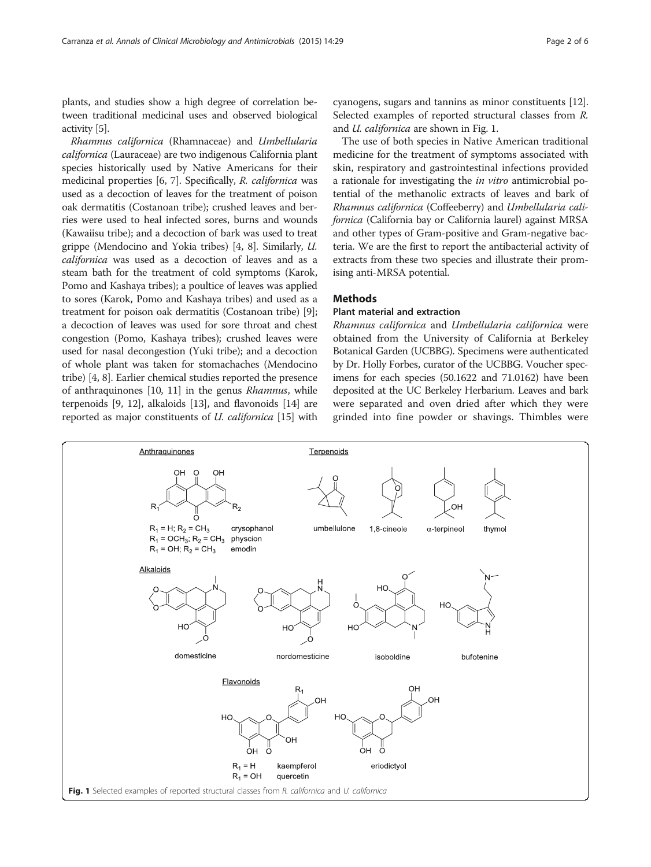plants, and studies show a high degree of correlation between traditional medicinal uses and observed biological activity [\[5](#page-6-0)].

Rhamnus californica (Rhamnaceae) and Umbellularia californica (Lauraceae) are two indigenous California plant species historically used by Native Americans for their medicinal properties [[6, 7\]](#page-6-0). Specifically, R. californica was used as a decoction of leaves for the treatment of poison oak dermatitis (Costanoan tribe); crushed leaves and berries were used to heal infected sores, burns and wounds (Kawaiisu tribe); and a decoction of bark was used to treat grippe (Mendocino and Yokia tribes) [[4, 8](#page-6-0)]. Similarly, U. californica was used as a decoction of leaves and as a steam bath for the treatment of cold symptoms (Karok, Pomo and Kashaya tribes); a poultice of leaves was applied to sores (Karok, Pomo and Kashaya tribes) and used as a treatment for poison oak dermatitis (Costanoan tribe) [[9](#page-6-0)]; a decoction of leaves was used for sore throat and chest congestion (Pomo, Kashaya tribes); crushed leaves were used for nasal decongestion (Yuki tribe); and a decoction of whole plant was taken for stomachaches (Mendocino tribe) [\[4, 8](#page-6-0)]. Earlier chemical studies reported the presence of anthraquinones [[10](#page-6-0), [11\]](#page-6-0) in the genus Rhamnus, while terpenoids [[9, 12](#page-6-0)], alkaloids [[13](#page-6-0)], and flavonoids [[14](#page-6-0)] are reported as major constituents of U. californica [[15](#page-6-0)] with

cyanogens, sugars and tannins as minor constituents [[12](#page-6-0)]. Selected examples of reported structural classes from R. and U. californica are shown in Fig. 1.

The use of both species in Native American traditional medicine for the treatment of symptoms associated with skin, respiratory and gastrointestinal infections provided a rationale for investigating the *in vitro* antimicrobial potential of the methanolic extracts of leaves and bark of Rhamnus californica (Coffeeberry) and Umbellularia californica (California bay or California laurel) against MRSA and other types of Gram-positive and Gram-negative bacteria. We are the first to report the antibacterial activity of extracts from these two species and illustrate their promising anti-MRSA potential.

#### **Methods**

#### Plant material and extraction

Rhamnus californica and Umbellularia californica were obtained from the University of California at Berkeley Botanical Garden (UCBBG). Specimens were authenticated by Dr. Holly Forbes, curator of the UCBBG. Voucher specimens for each species (50.1622 and 71.0162) have been deposited at the UC Berkeley Herbarium. Leaves and bark were separated and oven dried after which they were grinded into fine powder or shavings. Thimbles were

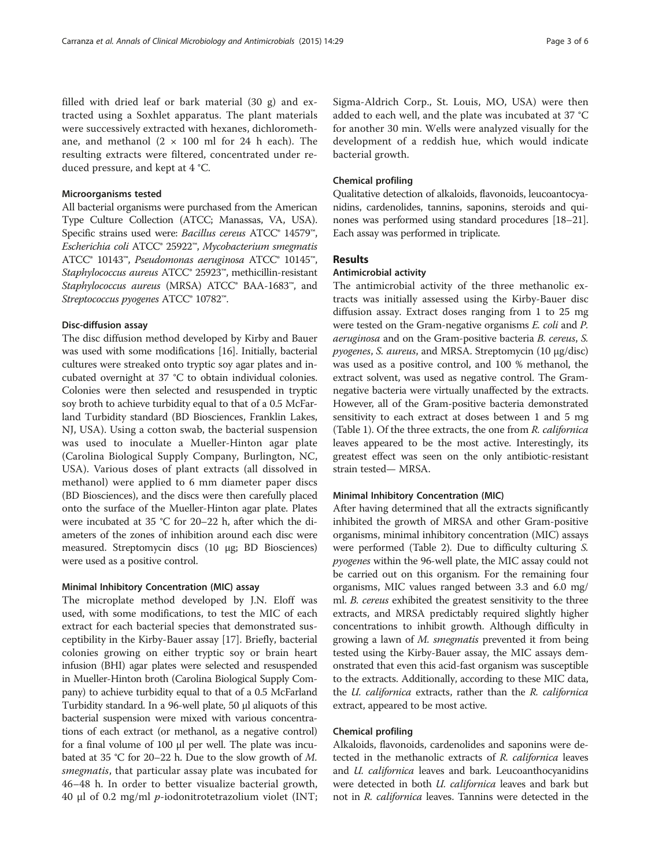filled with dried leaf or bark material (30 g) and extracted using a Soxhlet apparatus. The plant materials were successively extracted with hexanes, dichloromethane, and methanol  $(2 \times 100 \text{ ml}$  for 24 h each). The resulting extracts were filtered, concentrated under reduced pressure, and kept at 4 °C.

#### Microorganisms tested

All bacterial organisms were purchased from the American Type Culture Collection (ATCC; Manassas, VA, USA). Specific strains used were: Bacillus cereus ATCC® 14579™, Escherichia coli ATCC® 25922™, Mycobacterium smegmatis ATCC® 10143™, Pseudomonas aeruginosa ATCC® 10145™, Staphylococcus aureus ATCC® 25923™, methicillin-resistant Staphylococcus aureus (MRSA) ATCC® BAA-1683™, and Streptococcus pyogenes ATCC® 10782™.

#### Disc-diffusion assay

The disc diffusion method developed by Kirby and Bauer was used with some modifications [[16](#page-6-0)]. Initially, bacterial cultures were streaked onto tryptic soy agar plates and incubated overnight at 37 °C to obtain individual colonies. Colonies were then selected and resuspended in tryptic soy broth to achieve turbidity equal to that of a 0.5 McFarland Turbidity standard (BD Biosciences, Franklin Lakes, NJ, USA). Using a cotton swab, the bacterial suspension was used to inoculate a Mueller-Hinton agar plate (Carolina Biological Supply Company, Burlington, NC, USA). Various doses of plant extracts (all dissolved in methanol) were applied to 6 mm diameter paper discs (BD Biosciences), and the discs were then carefully placed onto the surface of the Mueller-Hinton agar plate. Plates were incubated at 35 °C for 20–22 h, after which the diameters of the zones of inhibition around each disc were measured. Streptomycin discs (10 μg; BD Biosciences) were used as a positive control.

#### Minimal Inhibitory Concentration (MIC) assay

The microplate method developed by J.N. Eloff was used, with some modifications, to test the MIC of each extract for each bacterial species that demonstrated susceptibility in the Kirby-Bauer assay [\[17](#page-6-0)]. Briefly, bacterial colonies growing on either tryptic soy or brain heart infusion (BHI) agar plates were selected and resuspended in Mueller-Hinton broth (Carolina Biological Supply Company) to achieve turbidity equal to that of a 0.5 McFarland Turbidity standard. In a 96-well plate, 50 μl aliquots of this bacterial suspension were mixed with various concentrations of each extract (or methanol, as a negative control) for a final volume of 100 μl per well. The plate was incubated at 35 °C for 20–22 h. Due to the slow growth of M. smegmatis, that particular assay plate was incubated for 46–48 h. In order to better visualize bacterial growth, 40 μl of 0.2 mg/ml p-iodonitrotetrazolium violet (INT; Sigma-Aldrich Corp., St. Louis, MO, USA) were then added to each well, and the plate was incubated at 37 °C for another 30 min. Wells were analyzed visually for the development of a reddish hue, which would indicate bacterial growth.

#### Chemical profiling

Qualitative detection of alkaloids, flavonoids, leucoantocyanidins, cardenolides, tannins, saponins, steroids and quinones was performed using standard procedures [[18](#page-6-0)–[21](#page-6-0)]. Each assay was performed in triplicate.

#### Results

#### Antimicrobial activity

The antimicrobial activity of the three methanolic extracts was initially assessed using the Kirby-Bauer disc diffusion assay. Extract doses ranging from 1 to 25 mg were tested on the Gram-negative organisms E. coli and P. aeruginosa and on the Gram-positive bacteria B. cereus, S. pyogenes, S. aureus, and MRSA. Streptomycin (10 μg/disc) was used as a positive control, and 100 % methanol, the extract solvent, was used as negative control. The Gramnegative bacteria were virtually unaffected by the extracts. However, all of the Gram-positive bacteria demonstrated sensitivity to each extract at doses between 1 and 5 mg (Table [1](#page-4-0)). Of the three extracts, the one from R. californica leaves appeared to be the most active. Interestingly, its greatest effect was seen on the only antibiotic-resistant strain tested— MRSA.

#### Minimal Inhibitory Concentration (MIC)

After having determined that all the extracts significantly inhibited the growth of MRSA and other Gram-positive organisms, minimal inhibitory concentration (MIC) assays were performed (Table [2](#page-4-0)). Due to difficulty culturing S. pyogenes within the 96-well plate, the MIC assay could not be carried out on this organism. For the remaining four organisms, MIC values ranged between 3.3 and 6.0 mg/ ml. B. cereus exhibited the greatest sensitivity to the three extracts, and MRSA predictably required slightly higher concentrations to inhibit growth. Although difficulty in growing a lawn of M. smegmatis prevented it from being tested using the Kirby-Bauer assay, the MIC assays demonstrated that even this acid-fast organism was susceptible to the extracts. Additionally, according to these MIC data, the *U. californica* extracts, rather than the *R. californica* extract, appeared to be most active.

#### Chemical profiling

Alkaloids, flavonoids, cardenolides and saponins were detected in the methanolic extracts of R. *californica* leaves and *U. californica* leaves and bark. Leucoanthocyanidins were detected in both *U. californica* leaves and bark but not in R. californica leaves. Tannins were detected in the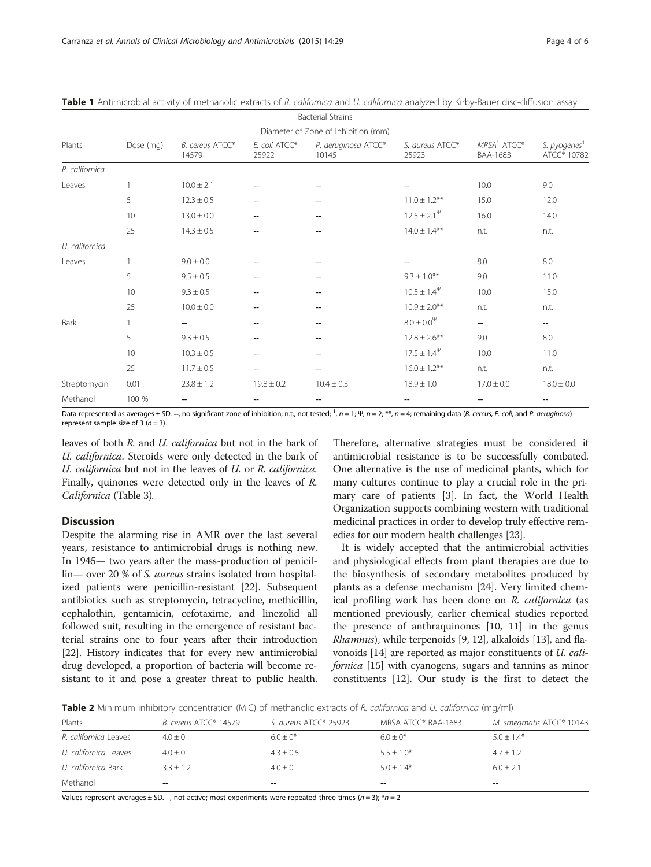| <b>Bacterial Strains</b><br>Diameter of Zone of Inhibition (mm) |       |                          |                |                          |                          |                |                          |  |  |  |
|-----------------------------------------------------------------|-------|--------------------------|----------------|--------------------------|--------------------------|----------------|--------------------------|--|--|--|
|                                                                 |       |                          |                |                          |                          |                |                          |  |  |  |
| R. californica                                                  |       |                          |                |                          |                          |                |                          |  |  |  |
| Leaves                                                          |       | $10.0 \pm 2.1$           |                |                          |                          | 10.0           | 9.0                      |  |  |  |
|                                                                 | 5     | $12.3 \pm 0.5$           |                |                          | $11.0 \pm 1.2***$        | 15.0           | 12.0                     |  |  |  |
|                                                                 | 10    | $13.0 \pm 0.0$           |                |                          | $12.5 \pm 2.1^{\circ}$   | 16.0           | 14.0                     |  |  |  |
|                                                                 | 25    | $14.3 \pm 0.5$           |                |                          | $14.0 \pm 1.4***$        | n.t.           | n.t.                     |  |  |  |
| U. californica                                                  |       |                          |                |                          |                          |                |                          |  |  |  |
| Leaves                                                          |       | $9.0 \pm 0.0$            |                | --                       |                          | 8.0            | 8.0                      |  |  |  |
|                                                                 | 5     | $9.5 \pm 0.5$            |                | $\overline{\phantom{a}}$ | $9.3 \pm 1.0***$         | 9.0            | 11.0                     |  |  |  |
|                                                                 | 10    | $9.3 \pm 0.5$            |                |                          | $10.5 \pm 1.4^{\circ}$   | 10.0           | 15.0                     |  |  |  |
|                                                                 | 25    | $10.0 \pm 0.0$           |                | --                       | $10.9 \pm 2.0***$        | n.t.           | n.t.                     |  |  |  |
| Bark                                                            |       | $\overline{\phantom{m}}$ |                | --                       | $8.0 \pm 0.0^{\Psi}$     | --             | $\overline{\phantom{a}}$ |  |  |  |
|                                                                 | 5     | $9.3 \pm 0.5$            |                | --                       | $12.8 \pm 2.6***$        | 9.0            | 8.0                      |  |  |  |
|                                                                 | 10    | $10.3 \pm 0.5$           |                | $\overline{\phantom{a}}$ | $17.5 \pm 1.4^{\Psi}$    | 10.0           | 11.0                     |  |  |  |
|                                                                 | 25    | $11.7 \pm 0.5$           | --             | $\overline{\phantom{a}}$ | $16.0 \pm 1.2***$        | n.t.           | n.t.                     |  |  |  |
| Streptomycin                                                    | 0.01  | $23.8 \pm 1.2$           | $19.8 \pm 0.2$ | $10.4 \pm 0.3$           | $18.9 \pm 1.0$           | $17.0 \pm 0.0$ | $18.0 \pm 0.0$           |  |  |  |
| Methanol                                                        | 100 % | $\overline{\phantom{a}}$ |                | --                       | $\overline{\phantom{a}}$ | --             | --                       |  |  |  |

<span id="page-4-0"></span>Table 1 Antimicrobial activity of methanolic extracts of R. californica and U. californica analyzed by Kirby-Bauer disc-diffusion assay

Data represented as averages ± SD. --, no significant zone of inhibition; n.t., not tested; <sup>1</sup>, n = 1; Ψ, n = 2; \*\*, n = 4; remaining data (*B. cereus, E. coli*, and P. aeruginosa) represent sample size of 3 ( $n = 3$ )

leaves of both R. and *U. californica* but not in the bark of U. californica. Steroids were only detected in the bark of U. californica but not in the leaves of U. or R. californica. Finally, quinones were detected only in the leaves of R. Californica (Table [3](#page-5-0)).

### **Discussion**

Despite the alarming rise in AMR over the last several years, resistance to antimicrobial drugs is nothing new. In 1945— two years after the mass-production of penicillin— over 20 % of S. aureus strains isolated from hospitalized patients were penicillin-resistant [[22](#page-6-0)]. Subsequent antibiotics such as streptomycin, tetracycline, methicillin, cephalothin, gentamicin, cefotaxime, and linezolid all followed suit, resulting in the emergence of resistant bacterial strains one to four years after their introduction [[22](#page-6-0)]. History indicates that for every new antimicrobial drug developed, a proportion of bacteria will become resistant to it and pose a greater threat to public health. Therefore, alternative strategies must be considered if antimicrobial resistance is to be successfully combated. One alternative is the use of medicinal plants, which for many cultures continue to play a crucial role in the primary care of patients [[3\]](#page-6-0). In fact, the World Health Organization supports combining western with traditional medicinal practices in order to develop truly effective remedies for our modern health challenges [[23\]](#page-6-0).

It is widely accepted that the antimicrobial activities and physiological effects from plant therapies are due to the biosynthesis of secondary metabolites produced by plants as a defense mechanism [\[24](#page-6-0)]. Very limited chemical profiling work has been done on R. californica (as mentioned previously, earlier chemical studies reported the presence of anthraquinones [\[10, 11\]](#page-6-0) in the genus Rhamnus), while terpenoids [\[9](#page-6-0), [12\]](#page-6-0), alkaloids [\[13\]](#page-6-0), and flavonoids [[14](#page-6-0)] are reported as major constituents of U. californica [[15](#page-6-0)] with cyanogens, sugars and tannins as minor constituents [\[12\]](#page-6-0). Our study is the first to detect the

Table 2 Minimum inhibitory concentration (MIC) of methanolic extracts of R. californica and U. californica (mg/ml)

| Plants                | B. cereus ATCC® 14579 | S. aureus ATCC® 25923 | MRSA ATCC® BAA-1683 | M. smegmatis ATCC® 10143 |
|-----------------------|-----------------------|-----------------------|---------------------|--------------------------|
| R. californica Leaves | $4.0 \pm 0$           | $6.0 + 0*$            | $6.0 + 0*$          | $5.0 + 1.4*$             |
| U. californica Leaves | $4.0 \pm 0$           | $4.3 \pm 0.5$         | $5.5 \pm 1.0^*$     | $4.7 + 1.2$              |
| U. californica Bark   | $3.3 + 1.2$           | $4.0 + 0$             | $5.0 + 1.4*$        | $6.0 + 2.1$              |
| Methanol              | $- -$                 | --                    | --                  | $- -$                    |

Values represent averages  $\pm$  SD. –, not active; most experiments were repeated three times ( $n = 3$ ); \* $n = 2$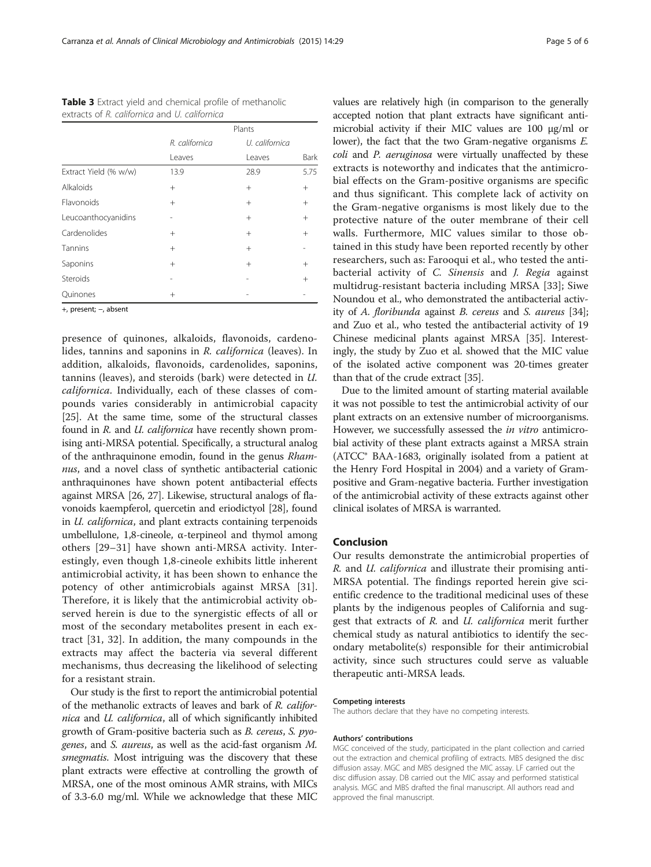| extracts of n. <i>cumbrincu</i> and <i>o. cumbrincu</i> |                |                |                 |  |  |  |  |
|---------------------------------------------------------|----------------|----------------|-----------------|--|--|--|--|
|                                                         | Plants         |                |                 |  |  |  |  |
|                                                         | R. californica | U. californica |                 |  |  |  |  |
|                                                         | Leaves         | Leaves         | Bark            |  |  |  |  |
| Extract Yield (% w/w)                                   | 13.9           | 28.9           | 5.75            |  |  |  |  |
| Alkaloids                                               | $^{+}$         | $+$            | $+$             |  |  |  |  |
| Flavonoids                                              | $^{+}$         | $^{+}$         | $^{+}$          |  |  |  |  |
| Leucoanthocyanidins                                     |                | $^{+}$         | $\! + \!\!\!\!$ |  |  |  |  |
| Cardenolides                                            | $^{+}$         | $^{+}$         | $^{+}$          |  |  |  |  |
| Tannins                                                 | $^{+}$         | $^{+}$         |                 |  |  |  |  |
| Saponins                                                | $^{+}$         | $^{+}$         | $^{+}$          |  |  |  |  |
| Steroids                                                |                |                | $^{+}$          |  |  |  |  |

<span id="page-5-0"></span>Table 3 Extract yield and chemical profile of methanolic extracts of R. californica and U. californica

+, present; −, absent

Quinones +

presence of quinones, alkaloids, flavonoids, cardenolides, tannins and saponins in R. californica (leaves). In addition, alkaloids, flavonoids, cardenolides, saponins, tannins (leaves), and steroids (bark) were detected in U. californica. Individually, each of these classes of compounds varies considerably in antimicrobial capacity [[25](#page-6-0)]. At the same time, some of the structural classes found in R. and *U. californica* have recently shown promising anti-MRSA potential. Specifically, a structural analog of the anthraquinone emodin, found in the genus Rhamnus, and a novel class of synthetic antibacterial cationic anthraquinones have shown potent antibacterial effects against MRSA [\[26](#page-6-0), [27\]](#page-6-0). Likewise, structural analogs of flavonoids kaempferol, quercetin and eriodictyol [[28\]](#page-6-0), found in U. californica, and plant extracts containing terpenoids umbellulone, 1,8-cineole, α-terpineol and thymol among others [\[29](#page-6-0)–[31](#page-6-0)] have shown anti-MRSA activity. Interestingly, even though 1,8-cineole exhibits little inherent antimicrobial activity, it has been shown to enhance the potency of other antimicrobials against MRSA [\[31](#page-6-0)]. Therefore, it is likely that the antimicrobial activity observed herein is due to the synergistic effects of all or most of the secondary metabolites present in each extract [[31, 32\]](#page-6-0). In addition, the many compounds in the extracts may affect the bacteria via several different mechanisms, thus decreasing the likelihood of selecting for a resistant strain.

Our study is the first to report the antimicrobial potential of the methanolic extracts of leaves and bark of R. californica and *U. californica*, all of which significantly inhibited growth of Gram-positive bacteria such as B. cereus, S. pyogenes, and S. aureus, as well as the acid-fast organism M. smegmatis. Most intriguing was the discovery that these plant extracts were effective at controlling the growth of MRSA, one of the most ominous AMR strains, with MICs of 3.3-6.0 mg/ml. While we acknowledge that these MIC

values are relatively high (in comparison to the generally accepted notion that plant extracts have significant antimicrobial activity if their MIC values are 100 μg/ml or lower), the fact that the two Gram-negative organisms E. coli and P. aeruginosa were virtually unaffected by these extracts is noteworthy and indicates that the antimicrobial effects on the Gram-positive organisms are specific and thus significant. This complete lack of activity on the Gram-negative organisms is most likely due to the protective nature of the outer membrane of their cell walls. Furthermore, MIC values similar to those obtained in this study have been reported recently by other researchers, such as: Farooqui et al., who tested the antibacterial activity of C. Sinensis and J. Regia against multidrug-resistant bacteria including MRSA [[33\]](#page-6-0); Siwe Noundou et al., who demonstrated the antibacterial activity of A. floribunda against B. cereus and S. aureus [[34](#page-6-0)]; and Zuo et al., who tested the antibacterial activity of 19 Chinese medicinal plants against MRSA [\[35](#page-6-0)]. Interestingly, the study by Zuo et al. showed that the MIC value of the isolated active component was 20-times greater than that of the crude extract [[35](#page-6-0)].

Due to the limited amount of starting material available it was not possible to test the antimicrobial activity of our plant extracts on an extensive number of microorganisms. However, we successfully assessed the *in vitro* antimicrobial activity of these plant extracts against a MRSA strain (ATCC® BAA-1683, originally isolated from a patient at the Henry Ford Hospital in 2004) and a variety of Grampositive and Gram-negative bacteria. Further investigation of the antimicrobial activity of these extracts against other clinical isolates of MRSA is warranted.

#### Conclusion

Our results demonstrate the antimicrobial properties of R. and U. californica and illustrate their promising anti-MRSA potential. The findings reported herein give scientific credence to the traditional medicinal uses of these plants by the indigenous peoples of California and suggest that extracts of R. and U. californica merit further chemical study as natural antibiotics to identify the secondary metabolite(s) responsible for their antimicrobial activity, since such structures could serve as valuable therapeutic anti-MRSA leads.

#### Competing interests

The authors declare that they have no competing interests.

#### Authors' contributions

MGC conceived of the study, participated in the plant collection and carried out the extraction and chemical profiling of extracts. MBS designed the disc diffusion assay. MGC and MBS designed the MIC assay. LF carried out the disc diffusion assay. DB carried out the MIC assay and performed statistical analysis. MGC and MBS drafted the final manuscript. All authors read and approved the final manuscript.